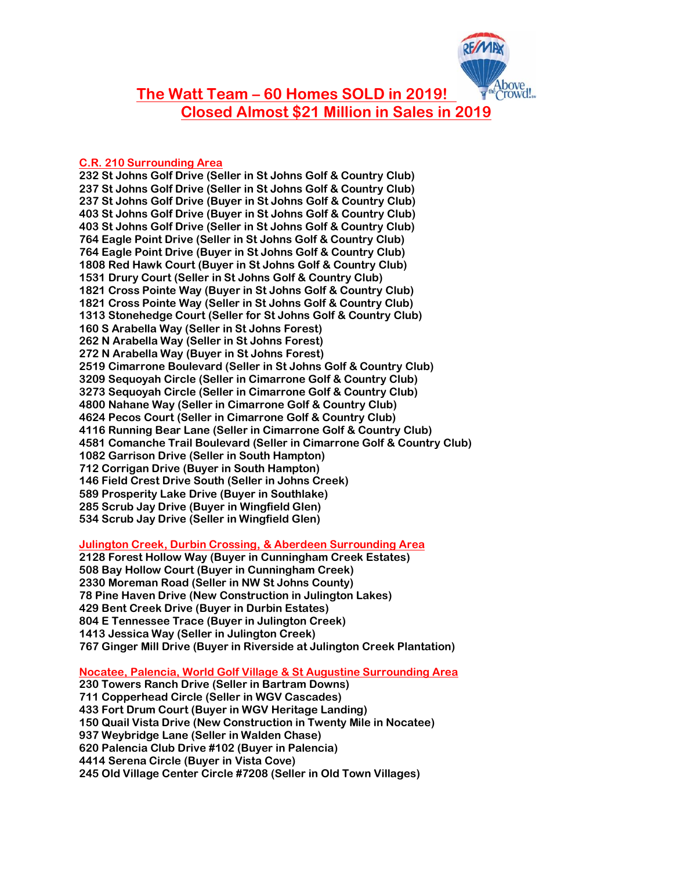

**The Watt Team – 60 Homes SOLD in 2019! Closed Almost \$21 Million in Sales in 2019**

## **C.R. 210 Surrounding Area**

**232 St Johns Golf Drive (Seller in St Johns Golf & Country Club) 237 St Johns Golf Drive (Seller in St Johns Golf & Country Club) 237 St Johns Golf Drive (Buyer in St Johns Golf & Country Club) 403 St Johns Golf Drive (Buyer in St Johns Golf & Country Club) 403 St Johns Golf Drive (Seller in St Johns Golf & Country Club) 764 Eagle Point Drive (Seller in St Johns Golf & Country Club) 764 Eagle Point Drive (Buyer in St Johns Golf & Country Club) 1808 Red Hawk Court (Buyer in St Johns Golf & Country Club) 1531 Drury Court (Seller in St Johns Golf & Country Club) 1821 Cross Pointe Way (Buyer in St Johns Golf & Country Club) 1821 Cross Pointe Way (Seller in St Johns Golf & Country Club) 1313 Stonehedge Court (Seller for St Johns Golf & Country Club) 160 S Arabella Way (Seller in St Johns Forest) 262 N Arabella Way (Seller in St Johns Forest) 272 N Arabella Way (Buyer in St Johns Forest) 2519 Cimarrone Boulevard (Seller in St Johns Golf & Country Club) 3209 Sequoyah Circle (Seller in Cimarrone Golf & Country Club) 3273 Sequoyah Circle (Seller in Cimarrone Golf & Country Club) 4800 Nahane Way (Seller in Cimarrone Golf & Country Club) 4624 Pecos Court (Seller in Cimarrone Golf & Country Club) 4116 Running Bear Lane (Seller in Cimarrone Golf & Country Club) 4581 Comanche Trail Boulevard (Seller in Cimarrone Golf & Country Club) 1082 Garrison Drive (Seller in South Hampton) 712 Corrigan Drive (Buyer in South Hampton) 146 Field Crest Drive South (Seller in Johns Creek) 589 Prosperity Lake Drive (Buyer in Southlake) 285 Scrub Jay Drive (Buyer in Wingfield Glen) 534 Scrub Jay Drive (Seller in Wingfield Glen)**

**Julington Creek, Durbin Crossing, & Aberdeen Surrounding Area**

**2128 Forest Hollow Way (Buyer in Cunningham Creek Estates) 508 Bay Hollow Court (Buyer in Cunningham Creek) 2330 Moreman Road (Seller in NW St Johns County) 78 Pine Haven Drive (New Construction in Julington Lakes) 429 Bent Creek Drive (Buyer in Durbin Estates) 804 E Tennessee Trace (Buyer in Julington Creek) 1413 Jessica Way (Seller in Julington Creek) 767 Ginger Mill Drive (Buyer in Riverside at Julington Creek Plantation)**

**Nocatee, Palencia, World Golf Village & St Augustine Surrounding Area 230 Towers Ranch Drive (Seller in Bartram Downs) 711 Copperhead Circle (Seller in WGV Cascades) 433 Fort Drum Court (Buyer in WGV Heritage Landing) 150 Quail Vista Drive (New Construction in Twenty Mile in Nocatee) 937 Weybridge Lane (Seller in Walden Chase) 620 Palencia Club Drive #102 (Buyer in Palencia) 4414 Serena Circle (Buyer in Vista Cove) 245 Old Village Center Circle #7208 (Seller in Old Town Villages)**